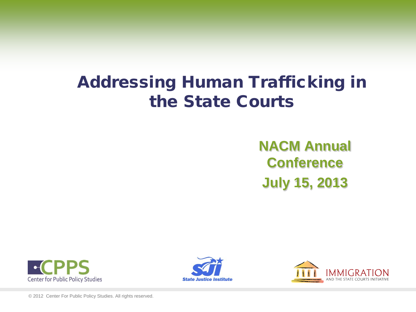# Addressing Human Trafficking in the State Courts

**NACM Annual Conference July 15, 2013**







© 2012 Center For Public Policy Studies. All rights reserved.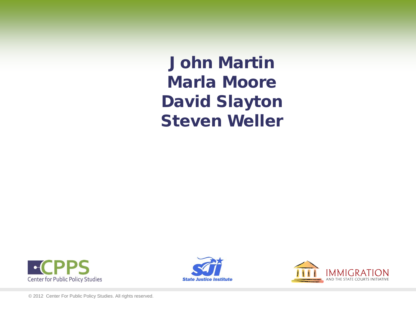John Martin Marla Moore David Slayton Steven Weller





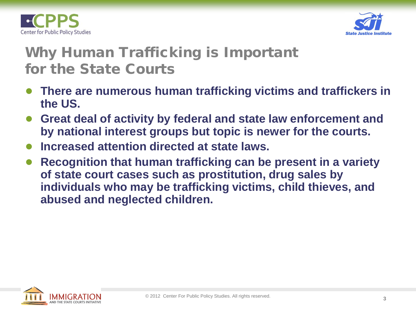



# Why Human Trafficking is Important for the State Courts

- **There are numerous human trafficking victims and traffickers in the US.**
- **Great deal of activity by federal and state law enforcement and by national interest groups but topic is newer for the courts.**
- **Increased attention directed at state laws.**
- **Recognition that human trafficking can be present in a variety of state court cases such as prostitution, drug sales by individuals who may be trafficking victims, child thieves, and abused and neglected children.**

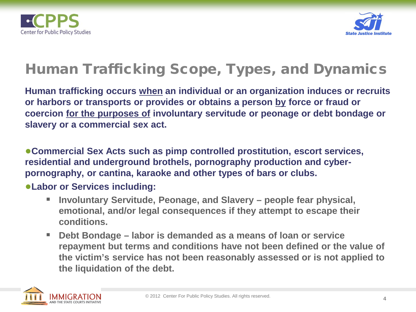



# Human Trafficking Scope, Types, and Dynamics

**Human trafficking occurs when an individual or an organization induces or recruits or harbors or transports or provides or obtains a person by force or fraud or coercion for the purposes of involuntary servitude or peonage or debt bondage or slavery or a commercial sex act.** 

●**Commercial Sex Acts such as pimp controlled prostitution, escort services, residential and underground brothels, pornography production and cyberpornography, or cantina, karaoke and other types of bars or clubs.**

#### ●**Labor or Services including:**

- Involuntary Servitude, Peonage, and Slavery people fear physical, **emotional, and/or legal consequences if they attempt to escape their conditions.**
- **Debt Bondage – labor is demanded as a means of loan or service repayment but terms and conditions have not been defined or the value of the victim's service has not been reasonably assessed or is not applied to the liquidation of the debt.**

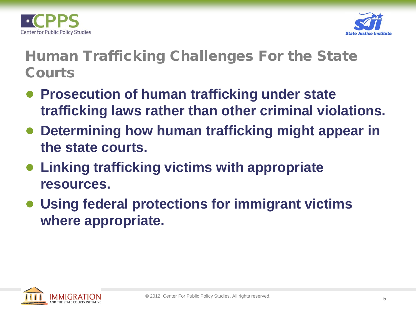



# Human Trafficking Challenges For the State Courts

- **Prosecution of human trafficking under state trafficking laws rather than other criminal violations.**
- **Determining how human trafficking might appear in the state courts.**
- **Linking trafficking victims with appropriate resources.**
- **Using federal protections for immigrant victims where appropriate.**

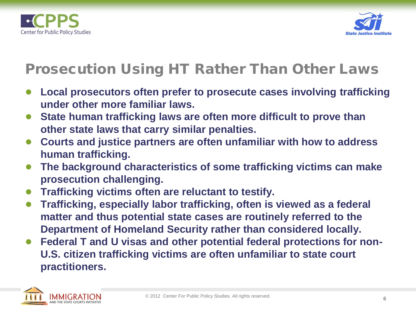



# Prosecution Using HT Rather Than Other Laws

- **Local prosecutors often prefer to prosecute cases involving trafficking under other more familiar laws.**
- State human trafficking laws are often more difficult to prove than **other state laws that carry similar penalties.**
- **Courts and justice partners are often unfamiliar with how to address human trafficking.**
- **The background characteristics of some trafficking victims can make prosecution challenging.**
- **Trafficking victims often are reluctant to testify.**
- **Trafficking, especially labor trafficking, often is viewed as a federal matter and thus potential state cases are routinely referred to the Department of Homeland Security rather than considered locally.**
- Federal T and U visas and other potential federal protections for non-**U.S. citizen trafficking victims are often unfamiliar to state court practitioners.**

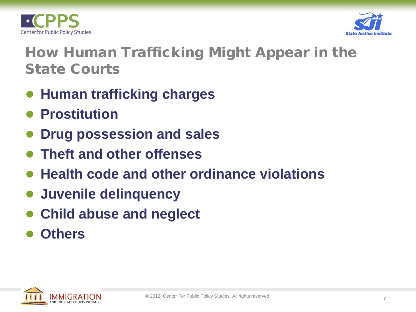



# How Human Trafficking Might Appear in the State Courts

- **Human trafficking charges**
- **Prostitution**
- **Drug possession and sales**
- **Theft and other offenses**
- **Health code and other ordinance violations**
- **Juvenile delinquency**
- **Child abuse and neglect**
- **Others**

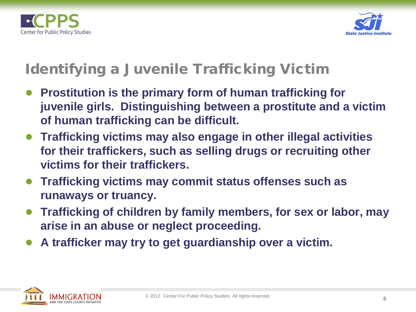



#### Identifying a Juvenile Trafficking Victim

- **Prostitution is the primary form of human trafficking for juvenile girls. Distinguishing between a prostitute and a victim of human trafficking can be difficult.**
- **Trafficking victims may also engage in other illegal activities for their traffickers, such as selling drugs or recruiting other victims for their traffickers.**
- **Trafficking victims may commit status offenses such as runaways or truancy.**
- **Trafficking of children by family members, for sex or labor, may arise in an abuse or neglect proceeding.**
- **A trafficker may try to get guardianship over a victim.**

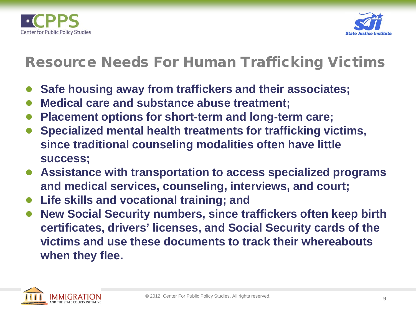



#### Resource Needs For Human Trafficking Victims

- **Safe housing away from traffickers and their associates;**
- **Medical care and substance abuse treatment;**
- **Placement options for short-term and long-term care;**
- **Specialized mental health treatments for trafficking victims, since traditional counseling modalities often have little success;**
- **Assistance with transportation to access specialized programs and medical services, counseling, interviews, and court;**
- **Life skills and vocational training; and**
- **New Social Security numbers, since traffickers often keep birth certificates, drivers' licenses, and Social Security cards of the victims and use these documents to track their whereabouts when they flee.**

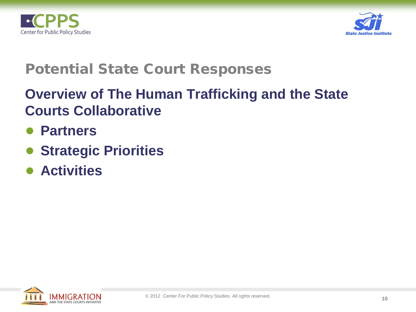



#### Potential State Court Responses

# **Overview of The Human Trafficking and the State Courts Collaborative**

- **Partners**
- **Strategic Priorities**
- **Activities**

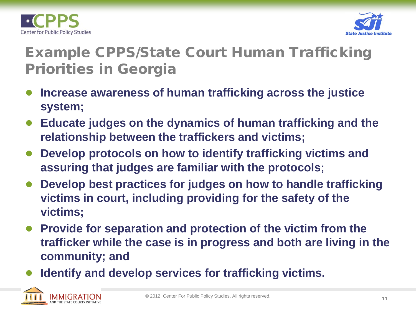



# Example CPPS/State Court Human Trafficking Priorities in Georgia

- **Increase awareness of human trafficking across the justice system;**
- **Educate judges on the dynamics of human trafficking and the relationship between the traffickers and victims;**
- **Develop protocols on how to identify trafficking victims and assuring that judges are familiar with the protocols;**
- **Develop best practices for judges on how to handle trafficking victims in court, including providing for the safety of the victims;**
- Provide for separation and protection of the victim from the **trafficker while the case is in progress and both are living in the community; and**
- **Identify and develop services for trafficking victims.**

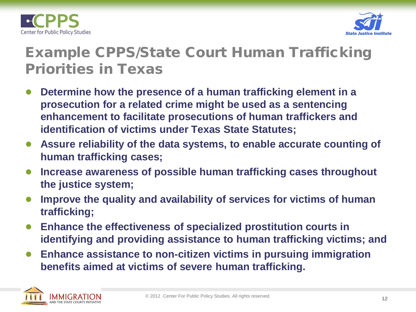



# Example CPPS/State Court Human Trafficking Priorities in Texas

- **Determine how the presence of a human trafficking element in a prosecution for a related crime might be used as a sentencing enhancement to facilitate prosecutions of human traffickers and identification of victims under Texas State Statutes;**
- Assure reliability of the data systems, to enable accurate counting of **human trafficking cases;**
- **Increase awareness of possible human trafficking cases throughout the justice system;**
- **Improve the quality and availability of services for victims of human trafficking;**
- **Enhance the effectiveness of specialized prostitution courts in identifying and providing assistance to human trafficking victims; and**
- Enhance assistance to non-citizen victims in pursuing immigration **benefits aimed at victims of severe human trafficking.**

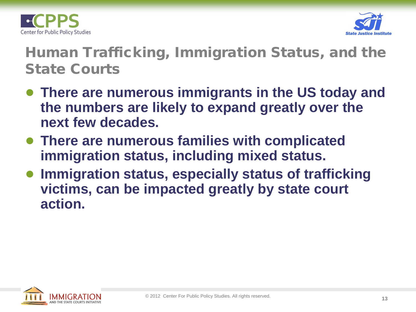



#### Human Trafficking, Immigration Status, and the State Courts

- **There are numerous immigrants in the US today and the numbers are likely to expand greatly over the next few decades.**
- **There are numerous families with complicated immigration status, including mixed status.**
- **Immigration status, especially status of trafficking victims, can be impacted greatly by state court action.**

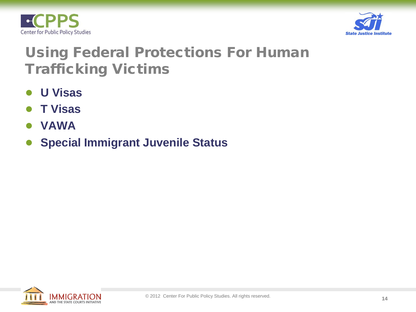



#### Using Federal Protections For Human Trafficking Victims

- **U Visas**
- **T Visas**
- **VAWA**
- **Special Immigrant Juvenile Status**

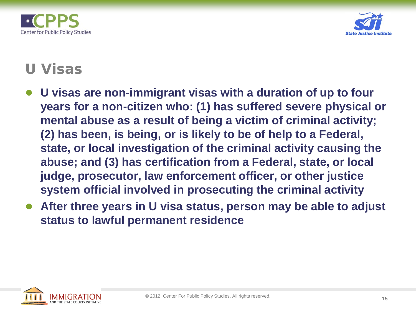



#### U Visas

- **U visas are non-immigrant visas with a duration of up to four years for a non-citizen who: (1) has suffered severe physical or mental abuse as a result of being a victim of criminal activity; (2) has been, is being, or is likely to be of help to a Federal, state, or local investigation of the criminal activity causing the abuse; and (3) has certification from a Federal, state, or local judge, prosecutor, law enforcement officer, or other justice system official involved in prosecuting the criminal activity**
- After three years in U visa status, person may be able to adjust **status to lawful permanent residence**

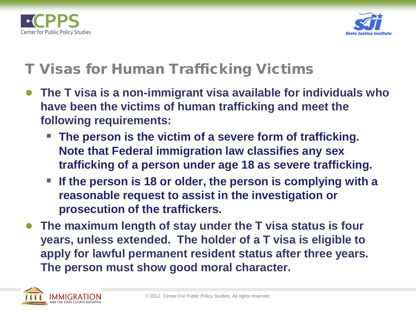



#### T Visas for Human Trafficking Victims

- **The T visa is a non-immigrant visa available for individuals who have been the victims of human trafficking and meet the following requirements:**
	- **The person is the victim of a severe form of trafficking. Note that Federal immigration law classifies any sex trafficking of a person under age 18 as severe trafficking.**
	- **If the person is 18 or older, the person is complying with a reasonable request to assist in the investigation or prosecution of the traffickers.**
- The maximum length of stay under the T visa status is four **years, unless extended. The holder of a T visa is eligible to apply for lawful permanent resident status after three years. The person must show good moral character.**

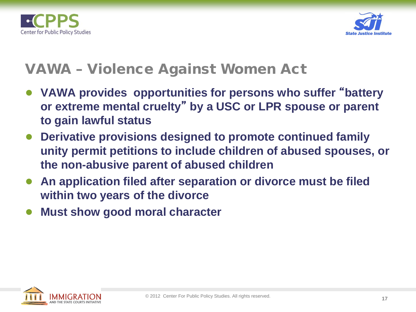



#### VAWA – Violence Against Women Act

- **VAWA provides opportunities for persons who suffer** "**battery or extreme mental cruelty**" **by a USC or LPR spouse or parent to gain lawful status**
- **Derivative provisions designed to promote continued family unity permit petitions to include children of abused spouses, or the non-abusive parent of abused children**
- An application filed after separation or divorce must be filed **within two years of the divorce**
- **Must show good moral character**

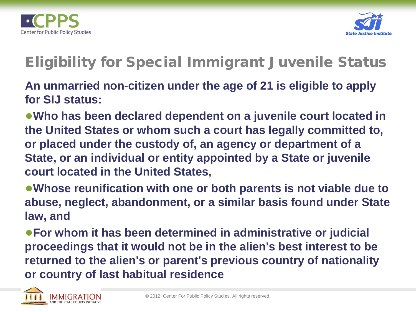



# Eligibility for Special Immigrant Juvenile Status

**An unmarried non-citizen under the age of 21 is eligible to apply for SIJ status:**

●**Who has been declared dependent on a juvenile court located in the United States or whom such a court has legally committed to, or placed under the custody of, an agency or department of a State, or an individual or entity appointed by a State or juvenile court located in the United States,** 

●**Whose reunification with one or both parents is not viable due to abuse, neglect, abandonment, or a similar basis found under State law, and**

●**For whom it has been determined in administrative or judicial proceedings that it would not be in the alien's best interest to be returned to the alien's or parent's previous country of nationality or country of last habitual residence**

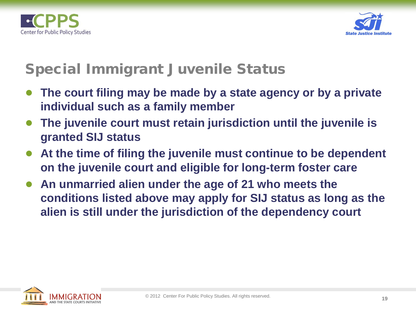



#### Special Immigrant Juvenile Status

- **The court filing may be made by a state agency or by a private individual such as a family member**
- **The juvenile court must retain jurisdiction until the juvenile is granted SIJ status**
- At the time of filing the juvenile must continue to be dependent **on the juvenile court and eligible for long-term foster care**
- An unmarried alien under the age of 21 who meets the **conditions listed above may apply for SIJ status as long as the alien is still under the jurisdiction of the dependency court**

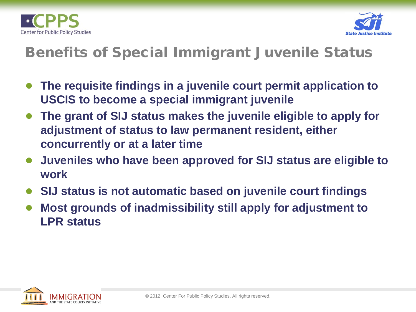



#### Benefits of Special Immigrant Juvenile Status

- **The requisite findings in a juvenile court permit application to USCIS to become a special immigrant juvenile**
- The grant of SIJ status makes the juvenile eligible to apply for **adjustment of status to law permanent resident, either concurrently or at a later time**
- **Juveniles who have been approved for SIJ status are eligible to work**
- **SIJ status is not automatic based on juvenile court findings**
- **Most grounds of inadmissibility still apply for adjustment to LPR status**

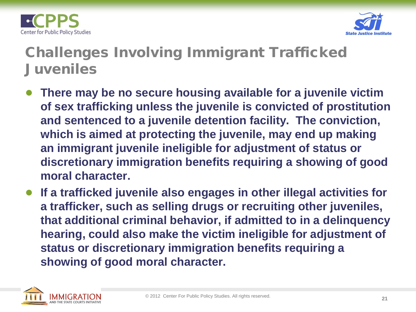



# Challenges Involving Immigrant Trafficked Juveniles

- **There may be no secure housing available for a juvenile victim of sex trafficking unless the juvenile is convicted of prostitution and sentenced to a juvenile detention facility. The conviction, which is aimed at protecting the juvenile, may end up making an immigrant juvenile ineligible for adjustment of status or discretionary immigration benefits requiring a showing of good moral character.**
- **If a trafficked juvenile also engages in other illegal activities for a trafficker, such as selling drugs or recruiting other juveniles, that additional criminal behavior, if admitted to in a delinquency hearing, could also make the victim ineligible for adjustment of status or discretionary immigration benefits requiring a showing of good moral character.**